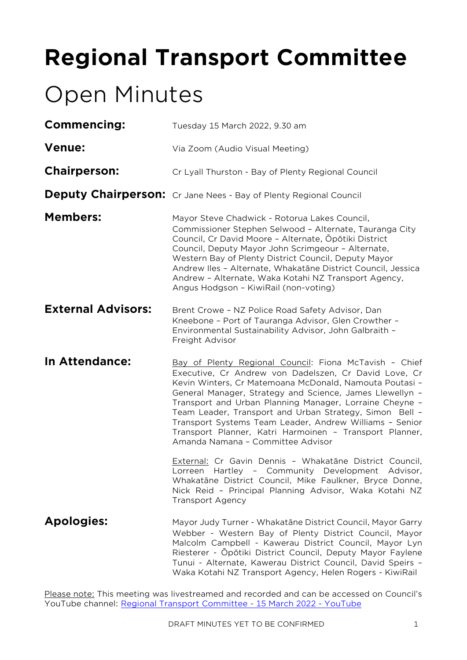# **Regional Transport Committee**

# Open Minutes

| <b>Commencing:</b>        | Tuesday 15 March 2022, 9.30 am                                                                                                                                                                                                                                                                                                                                                                                                                                                                                          |
|---------------------------|-------------------------------------------------------------------------------------------------------------------------------------------------------------------------------------------------------------------------------------------------------------------------------------------------------------------------------------------------------------------------------------------------------------------------------------------------------------------------------------------------------------------------|
| <b>Venue:</b>             | Via Zoom (Audio Visual Meeting)                                                                                                                                                                                                                                                                                                                                                                                                                                                                                         |
| <b>Chairperson:</b>       | Cr Lyall Thurston - Bay of Plenty Regional Council                                                                                                                                                                                                                                                                                                                                                                                                                                                                      |
|                           | <b>Deputy Chairperson:</b> Cr Jane Nees - Bay of Plenty Regional Council                                                                                                                                                                                                                                                                                                                                                                                                                                                |
| <b>Members:</b>           | Mayor Steve Chadwick - Rotorua Lakes Council,<br>Commissioner Stephen Selwood - Alternate, Tauranga City<br>Council, Cr David Moore - Alternate, Opōtiki District<br>Council, Deputy Mayor John Scrimgeour - Alternate,<br>Western Bay of Plenty District Council, Deputy Mayor<br>Andrew Iles - Alternate, Whakatāne District Council, Jessica<br>Andrew - Alternate, Waka Kotahi NZ Transport Agency,<br>Angus Hodgson - KiwiRail (non-voting)                                                                        |
| <b>External Advisors:</b> | Brent Crowe - NZ Police Road Safety Advisor, Dan<br>Kneebone - Port of Tauranga Advisor, Glen Crowther -<br>Environmental Sustainability Advisor, John Galbraith -<br>Freight Advisor                                                                                                                                                                                                                                                                                                                                   |
| In Attendance:            | Bay of Plenty Regional Council: Fiona McTavish - Chief<br>Executive, Cr Andrew von Dadelszen, Cr David Love, Cr<br>Kevin Winters, Cr Matemoana McDonald, Namouta Poutasi -<br>General Manager, Strategy and Science, James Llewellyn -<br>Transport and Urban Planning Manager, Lorraine Cheyne -<br>Team Leader, Transport and Urban Strategy, Simon Bell -<br>Transport Systems Team Leader, Andrew Williams - Senior<br>Transport Planner, Katri Harmoinen - Transport Planner,<br>Amanda Namana - Committee Advisor |
|                           | External: Cr Gavin Dennis - Whakatāne District Council,<br>Lorreen Hartley - Community Development Advisor,<br>Whakatāne District Council, Mike Faulkner, Bryce Donne,<br>Nick Reid - Principal Planning Advisor, Waka Kotahi NZ<br><b>Transport Agency</b>                                                                                                                                                                                                                                                             |
| <b>Apologies:</b>         | Mayor Judy Turner - Whakatāne District Council, Mayor Garry<br>Webber - Western Bay of Plenty District Council, Mayor<br>Malcolm Campbell - Kawerau District Council, Mayor Lyn<br>Riesterer - Ōpōtiki District Council, Deputy Mayor Faylene<br>Tunui - Alternate, Kawerau District Council, David Speirs -<br>Waka Kotahi NZ Transport Agency, Helen Rogers - KiwiRail                                                                                                                                                |

Please note: This meeting was livestreamed and recorded and can be accessed on Council's YouTube channel: [Regional Transport Committee -](https://www.youtube.com/watch?v=uGoNabXvMGo) 15 March 2022 - YouTube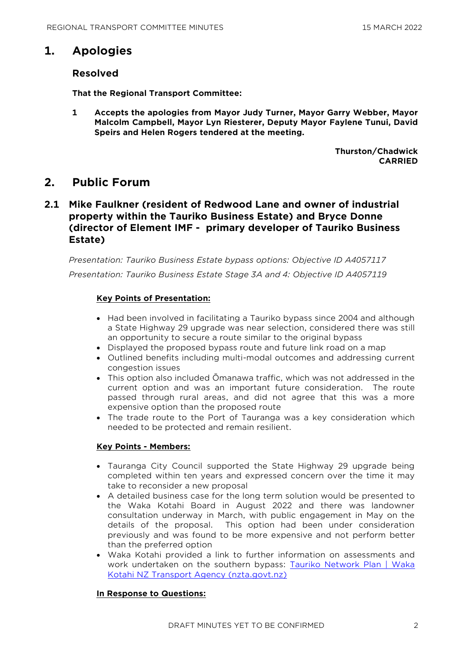## **1. Apologies**

### **Resolved**

**That the Regional Transport Committee:**

**1 Accepts the apologies from Mayor Judy Turner, Mayor Garry Webber, Mayor Malcolm Campbell, Mayor Lyn Riesterer, Deputy Mayor Faylene Tunui, David Speirs and Helen Rogers tendered at the meeting.**

> **Thurston/Chadwick CARRIED**

## **2. Public Forum**

## **2.1 Mike Faulkner (resident of Redwood Lane and owner of industrial property within the Tauriko Business Estate) and Bryce Donne (director of Element IMF - primary developer of Tauriko Business Estate)**

*Presentation: Tauriko Business Estate bypass options: Objective ID A4057117 Presentation: Tauriko Business Estate Stage 3A and 4: Objective ID A4057119* 

#### **Key Points of Presentation:**

- Had been involved in facilitating a Tauriko bypass since 2004 and although a State Highway 29 upgrade was near selection, considered there was still an opportunity to secure a route similar to the original bypass
- Displayed the proposed bypass route and future link road on a map
- Outlined benefits including multi-modal outcomes and addressing current congestion issues
- This option also included Ōmanawa traffic, which was not addressed in the current option and was an important future consideration. The route passed through rural areas, and did not agree that this was a more expensive option than the proposed route
- The trade route to the Port of Tauranga was a key consideration which needed to be protected and remain resilient.

#### **Key Points - Members:**

- Tauranga City Council supported the State Highway 29 upgrade being completed within ten years and expressed concern over the time it may take to reconsider a new proposal
- A detailed business case for the long term solution would be presented to the Waka Kotahi Board in August 2022 and there was landowner consultation underway in March, with public engagement in May on the details of the proposal. This option had been under consideration previously and was found to be more expensive and not perform better than the preferred option
- Waka Kotahi provided a link to further information on assessments and work undertaken on the southern bypass: [Tauriko Network Plan | Waka](https://www.nzta.govt.nz/projects/tauriko-network-plan/publications)  [Kotahi NZ Transport Agency \(nzta.govt.nz\)](https://www.nzta.govt.nz/projects/tauriko-network-plan/publications)

#### **In Response to Questions:**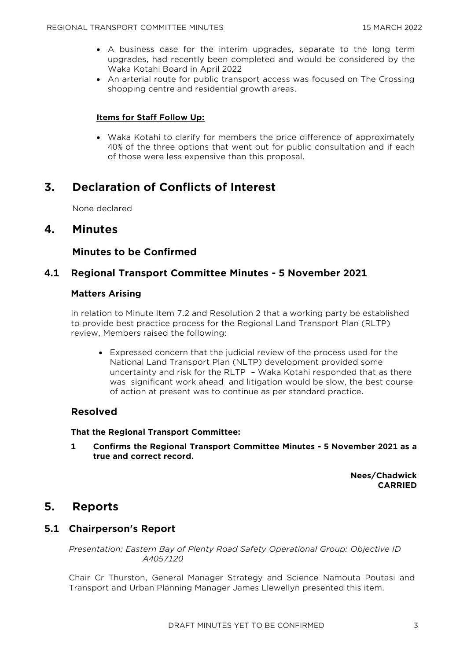- A business case for the interim upgrades, separate to the long term upgrades, had recently been completed and would be considered by the Waka Kotahi Board in April 2022
- An arterial route for public transport access was focused on The Crossing shopping centre and residential growth areas.

#### **Items for Staff Follow Up:**

• Waka Kotahi to clarify for members the price difference of approximately 40% of the three options that went out for public consultation and if each of those were less expensive than this proposal.

# **3. Declaration of Conflicts of Interest**

None declared

## **4. Minutes**

## **Minutes to be Confirmed**

## **4.1 Regional Transport Committee Minutes - 5 November 2021**

#### **Matters Arising**

In relation to Minute Item 7.2 and Resolution 2 that a working party be established to provide best practice process for the Regional Land Transport Plan (RLTP) review, Members raised the following:

• Expressed concern that the judicial review of the process used for the National Land Transport Plan (NLTP) development provided some uncertainty and risk for the RLTP – Waka Kotahi responded that as there was significant work ahead and litigation would be slow, the best course of action at present was to continue as per standard practice.

## **Resolved**

#### **That the Regional Transport Committee:**

**1 Confirms the Regional Transport Committee Minutes - 5 November 2021 as a true and correct record.**

> **Nees/Chadwick CARRIED**

## **5. Reports**

## **5.1 Chairperson's Report**

*Presentation: Eastern Bay of Plenty Road Safety Operational Group: Objective ID A4057120* 

Chair Cr Thurston, General Manager Strategy and Science Namouta Poutasi and Transport and Urban Planning Manager James Llewellyn presented this item.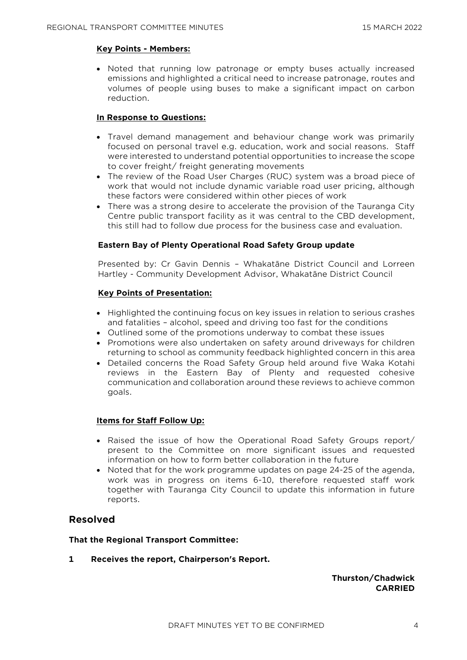#### **Key Points - Members:**

• Noted that running low patronage or empty buses actually increased emissions and highlighted a critical need to increase patronage, routes and volumes of people using buses to make a significant impact on carbon reduction.

#### **In Response to Questions:**

- Travel demand management and behaviour change work was primarily focused on personal travel e.g. education, work and social reasons. Staff were interested to understand potential opportunities to increase the scope to cover freight/ freight generating movements
- The review of the Road User Charges (RUC) system was a broad piece of work that would not include dynamic variable road user pricing, although these factors were considered within other pieces of work
- There was a strong desire to accelerate the provision of the Tauranga City Centre public transport facility as it was central to the CBD development, this still had to follow due process for the business case and evaluation.

#### **Eastern Bay of Plenty Operational Road Safety Group update**

Presented by: Cr Gavin Dennis – Whakatāne District Council and Lorreen Hartley - Community Development Advisor, Whakatāne District Council

#### **Key Points of Presentation:**

- Highlighted the continuing focus on key issues in relation to serious crashes and fatalities – alcohol, speed and driving too fast for the conditions
- Outlined some of the promotions underway to combat these issues
- Promotions were also undertaken on safety around driveways for children returning to school as community feedback highlighted concern in this area
- Detailed concerns the Road Safety Group held around five Waka Kotahi reviews in the Eastern Bay of Plenty and requested cohesive communication and collaboration around these reviews to achieve common goals.

#### **Items for Staff Follow Up:**

- Raised the issue of how the Operational Road Safety Groups report/ present to the Committee on more significant issues and requested information on how to form better collaboration in the future
- Noted that for the work programme updates on page 24-25 of the agenda, work was in progress on items 6-10, therefore requested staff work together with Tauranga City Council to update this information in future reports.

## **Resolved**

#### **That the Regional Transport Committee:**

**1 Receives the report, Chairperson's Report.**

#### **Thurston/Chadwick CARRIED**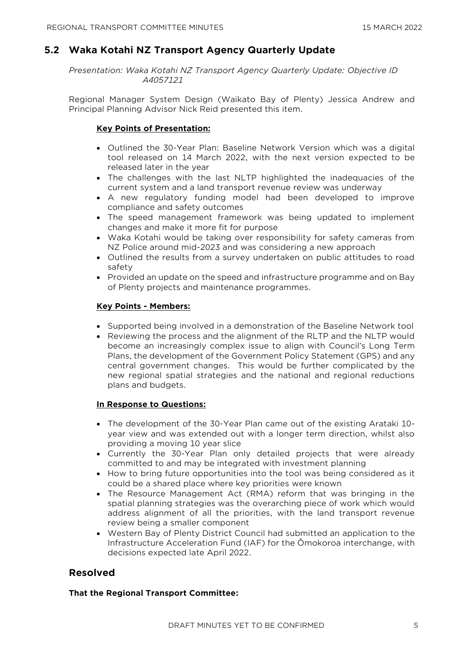## **5.2 Waka Kotahi NZ Transport Agency Quarterly Update**

*Presentation: Waka Kotahi NZ Transport Agency Quarterly Update: Objective ID A4057121* 

Regional Manager System Design (Waikato Bay of Plenty) Jessica Andrew and Principal Planning Advisor Nick Reid presented this item.

#### **Key Points of Presentation:**

- Outlined the 30-Year Plan: Baseline Network Version which was a digital tool released on 14 March 2022, with the next version expected to be released later in the year
- The challenges with the last NLTP highlighted the inadequacies of the current system and a land transport revenue review was underway
- A new regulatory funding model had been developed to improve compliance and safety outcomes
- The speed management framework was being updated to implement changes and make it more fit for purpose
- Waka Kotahi would be taking over responsibility for safety cameras from NZ Police around mid-2023 and was considering a new approach
- Outlined the results from a survey undertaken on public attitudes to road safety
- Provided an update on the speed and infrastructure programme and on Bay of Plenty projects and maintenance programmes.

#### **Key Points - Members:**

- Supported being involved in a demonstration of the Baseline Network tool
- Reviewing the process and the alignment of the RLTP and the NLTP would become an increasingly complex issue to align with Council's Long Term Plans, the development of the Government Policy Statement (GPS) and any central government changes. This would be further complicated by the new regional spatial strategies and the national and regional reductions plans and budgets.

#### **In Response to Questions:**

- The development of the 30-Year Plan came out of the existing Arataki 10 year view and was extended out with a longer term direction, whilst also providing a moving 10 year slice
- Currently the 30-Year Plan only detailed projects that were already committed to and may be integrated with investment planning
- How to bring future opportunities into the tool was being considered as it could be a shared place where key priorities were known
- The Resource Management Act (RMA) reform that was bringing in the spatial planning strategies was the overarching piece of work which would address alignment of all the priorities, with the land transport revenue review being a smaller component
- Western Bay of Plenty District Council had submitted an application to the Infrastructure Acceleration Fund (IAF) for the Ōmokoroa interchange, with decisions expected late April 2022.

## **Resolved**

#### **That the Regional Transport Committee:**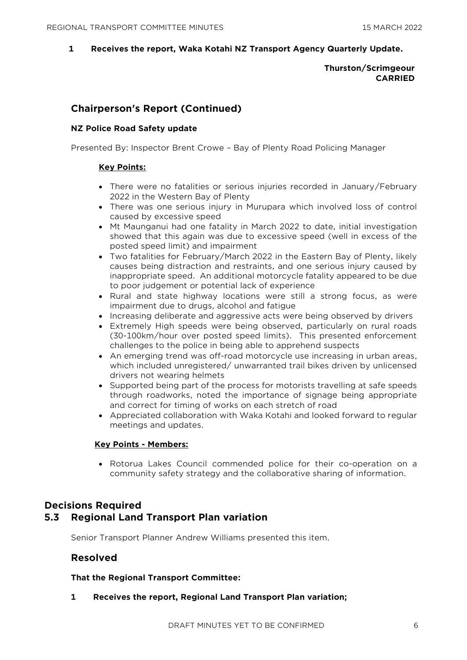**1 Receives the report, Waka Kotahi NZ Transport Agency Quarterly Update.**

#### **Thurston/Scrimgeour CARRIED**

## **Chairperson's Report (Continued)**

#### **NZ Police Road Safety update**

Presented By: Inspector Brent Crowe – Bay of Plenty Road Policing Manager

#### **Key Points:**

- There were no fatalities or serious injuries recorded in January/February 2022 in the Western Bay of Plenty
- There was one serious injury in Murupara which involved loss of control caused by excessive speed
- Mt Maunganui had one fatality in March 2022 to date, initial investigation showed that this again was due to excessive speed (well in excess of the posted speed limit) and impairment
- Two fatalities for February/March 2022 in the Eastern Bay of Plenty, likely causes being distraction and restraints, and one serious injury caused by inappropriate speed. An additional motorcycle fatality appeared to be due to poor judgement or potential lack of experience
- Rural and state highway locations were still a strong focus, as were impairment due to drugs, alcohol and fatigue
- Increasing deliberate and aggressive acts were being observed by drivers
- Extremely High speeds were being observed, particularly on rural roads (30-100km/hour over posted speed limits). This presented enforcement challenges to the police in being able to apprehend suspects
- An emerging trend was off-road motorcycle use increasing in urban areas, which included unregistered/ unwarranted trail bikes driven by unlicensed drivers not wearing helmets
- Supported being part of the process for motorists travelling at safe speeds through roadworks, noted the importance of signage being appropriate and correct for timing of works on each stretch of road
- Appreciated collaboration with Waka Kotahi and looked forward to regular meetings and updates.

#### **Key Points - Members:**

• Rotorua Lakes Council commended police for their co-operation on a community safety strategy and the collaborative sharing of information.

# **Decisions Required**

## **5.3 Regional Land Transport Plan variation**

Senior Transport Planner Andrew Williams presented this item.

#### **Resolved**

#### **That the Regional Transport Committee:**

**1 Receives the report, Regional Land Transport Plan variation;**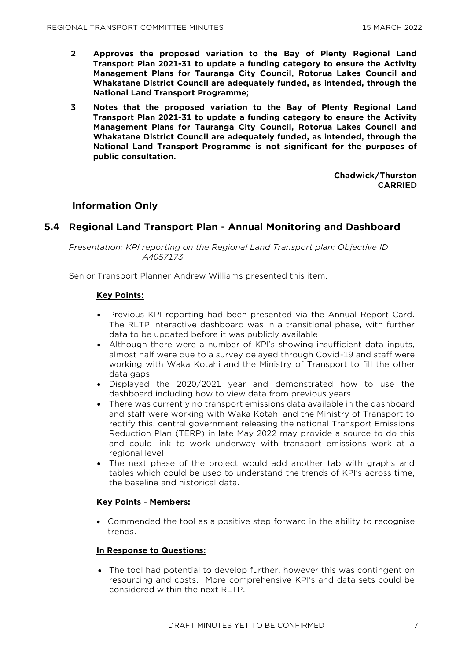- **2 Approves the proposed variation to the Bay of Plenty Regional Land Transport Plan 2021-31 to update a funding category to ensure the Activity Management Plans for Tauranga City Council, Rotorua Lakes Council and Whakatane District Council are adequately funded, as intended, through the National Land Transport Programme;**
- **3 Notes that the proposed variation to the Bay of Plenty Regional Land Transport Plan 2021-31 to update a funding category to ensure the Activity Management Plans for Tauranga City Council, Rotorua Lakes Council and Whakatane District Council are adequately funded, as intended, through the National Land Transport Programme is not significant for the purposes of public consultation.**

**Chadwick/Thurston CARRIED**

## **Information Only**

## **5.4 Regional Land Transport Plan - Annual Monitoring and Dashboard**

*Presentation: KPI reporting on the Regional Land Transport plan: Objective ID A4057173* 

Senior Transport Planner Andrew Williams presented this item.

#### **Key Points:**

- Previous KPI reporting had been presented via the Annual Report Card. The RLTP interactive dashboard was in a transitional phase, with further data to be updated before it was publicly available
- Although there were a number of KPI's showing insufficient data inputs, almost half were due to a survey delayed through Covid-19 and staff were working with Waka Kotahi and the Ministry of Transport to fill the other data gaps
- Displayed the 2020/2021 year and demonstrated how to use the dashboard including how to view data from previous years
- There was currently no transport emissions data available in the dashboard and staff were working with Waka Kotahi and the Ministry of Transport to rectify this, central government releasing the national Transport Emissions Reduction Plan (TERP) in late May 2022 may provide a source to do this and could link to work underway with transport emissions work at a regional level
- The next phase of the project would add another tab with graphs and tables which could be used to understand the trends of KPI's across time, the baseline and historical data.

#### **Key Points - Members:**

• Commended the tool as a positive step forward in the ability to recognise trends.

#### **In Response to Questions:**

• The tool had potential to develop further, however this was contingent on resourcing and costs. More comprehensive KPI's and data sets could be considered within the next RLTP.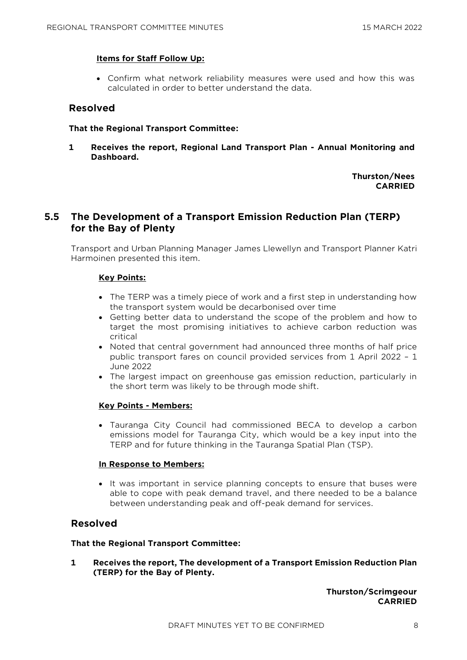#### **Items for Staff Follow Up:**

• Confirm what network reliability measures were used and how this was calculated in order to better understand the data.

#### **Resolved**

#### **That the Regional Transport Committee:**

**1 Receives the report, Regional Land Transport Plan - Annual Monitoring and Dashboard.**

> **Thurston/Nees CARRIED**

## **5.5 The Development of a Transport Emission Reduction Plan (TERP) for the Bay of Plenty**

Transport and Urban Planning Manager James Llewellyn and Transport Planner Katri Harmoinen presented this item.

#### **Key Points:**

- The TERP was a timely piece of work and a first step in understanding how the transport system would be decarbonised over time
- Getting better data to understand the scope of the problem and how to target the most promising initiatives to achieve carbon reduction was critical
- Noted that central government had announced three months of half price public transport fares on council provided services from 1 April 2022 – 1 June 2022
- The largest impact on greenhouse gas emission reduction, particularly in the short term was likely to be through mode shift.

#### **Key Points - Members:**

• Tauranga City Council had commissioned BECA to develop a carbon emissions model for Tauranga City, which would be a key input into the TERP and for future thinking in the Tauranga Spatial Plan (TSP).

#### **In Response to Members:**

• It was important in service planning concepts to ensure that buses were able to cope with peak demand travel, and there needed to be a balance between understanding peak and off-peak demand for services.

### **Resolved**

#### **That the Regional Transport Committee:**

**1 Receives the report, The development of a Transport Emission Reduction Plan (TERP) for the Bay of Plenty.**

> **Thurston/Scrimgeour CARRIED**